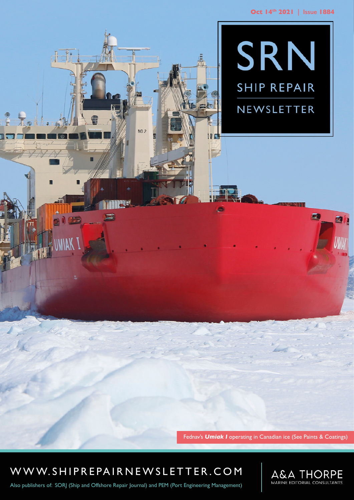

Fednav's *Umiak I* operating in Canadian ice (See Paints & Coatings)

WWW.SHIPREPAIRNEWSLETTER.COM

SHIP REPAIR NEWSLET IN A 1990 OF THE REPAIR OF THE REPAIR OF THE REPAIR OF THE REPAIR OF THE REPAIR OF THE REP<br>SHIP REPAIR OF THE REPAIR OF THE REPAIR OF THE REPAIR OF THE REPAIR OF THE REPAIR OF THE REPAIR OF THE REPAIR O

**NO.2** 



 $\boldsymbol{\pi}$ 

**in** 

Also publishers of: SORJ (Ship and Offshore Repair Journal) and PEM (Port Engineering Management)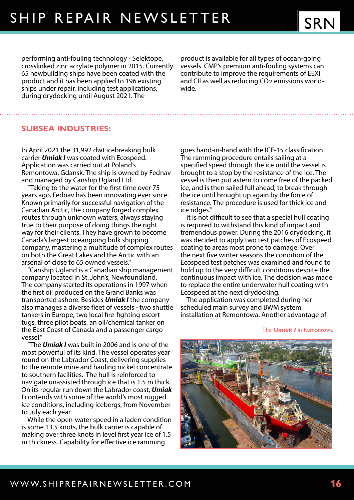performing anti-fouling technology - Selektope, crosslinked zinc acrylate polymer in 2015. Currently 65 newbuilding ships have been coated with the product and it has been applied to 196 existing ships under repair, including test applications, during drydocking until August 2021. The

product is available for all types of ocean-going vessels. CMP's premium anti-fouling systems can contribute to improve the requirements of EEXI and CII as well as reducing CO2 emissions worldwide.

## **SUBSEA INDUSTRIES:**

In April 2021 the 31,992 dwt icebreaking bulk carrier *Umiak I* was coated with Ecospeed. Application was carried out at Poland's Remontowa, Gdansk. The ship is owned by Fednav and managed by Canship Ugland Ltd.

"Taking to the water for the first time over 75 years ago, Fednav has been innovating ever since. Known primarily for successful navigation of the Canadian Arctic, the company forged complex routes through unknown waters, always staying true to their purpose of doing things the right way for their clients. They have grown to become Canada's largest oceangoing bulk shipping company, mastering a multitude of complex routes on both the Great Lakes and the Arctic with an arsenal of close to 65 owned vessels."

"Canship Ugland is a Canadian ship management company located in St. John's, Newfoundland. The company started its operations in 1997 when the first oil produced on the Grand Banks was transported ashore. Besides *Umiak I* the company also manages a diverse fleet of vessels - two shuttle tankers in Europe, two local fire-fighting escort tugs, three pilot boats, an oil/chemical tanker on the East Coast of Canada and a passenger cargo vessel."

"The *Umiak I* was built in 2006 and is one of the most powerful of its kind. The vessel operates year round on the Labrador Coast, delivering supplies to the remote mine and hauling nickel concentrate to southern facilities. The hull is reinforced to navigate unassisted through ice that is 1.5 m thick. On its regular run down the Labrador coast, *Umiak I* contends with some of the world's most rugged ice conditions, including icebergs, from November to July each year.

While the open-water speed in a laden condition is some 13.5 knots, the bulk carrier is capable of making over three knots in level first year ice of 1.5 m thickness. Capability for effective ice ramming

goes hand-in-hand with the ICE-15 classification. The ramming procedure entails sailing at a specified speed through the ice until the vessel is brought to a stop by the resistance of the ice. The vessel is then put astern to come free of the packed ice, and is then sailed full ahead, to break through the ice until brought up again by the force of resistance. The procedure is used for thick ice and ice ridges."

It is not difficult to see that a special hull coating is required to withstand this kind of impact and tremendous power. During the 2016 drydocking, it was decided to apply two test patches of Ecospeed coating to areas most prone to damage. Over the next five winter seasons the condition of the Ecospeed test patches was examined and found to hold up to the very difficult conditions despite the continuous impact with ice. The decision was made to replace the entire underwater hull coating with Ecospeed at the next drydocking.

The application was completed during her scheduled main survey and BWM system installation at Remontowa. Another advantage of

#### The *Umiak I* in Remontowa